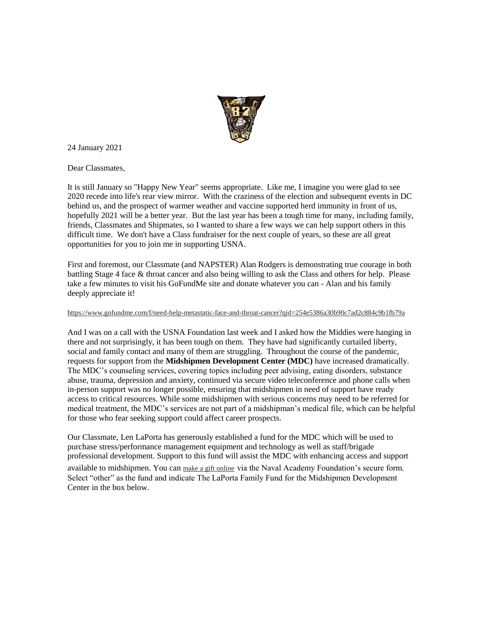

24 January 2021

Dear Classmates,

It is still January so "Happy New Year" seems appropriate. Like me, I imagine you were glad to see 2020 recede into life's rear view mirror. With the craziness of the election and subsequent events in DC behind us, and the prospect of warmer weather and vaccine supported herd immunity in front of us, hopefully 2021 will be a better year. But the last year has been a tough time for many, including family, friends, Classmates and Shipmates, so I wanted to share a few ways we can help support others in this difficult time. We don't have a Class fundraiser for the next couple of years, so these are all great opportunities for you to join me in supporting USNA.

First and foremost, our Classmate (and NAPSTER) Alan Rodgers is demonstrating true courage in both battling Stage 4 face & throat cancer and also being willing to ask the Class and others for help. Please take a few minutes to visit his GoFundMe site and donate whatever you can - Alan and his family deeply appreciate it!

## [https://www.gofundme.com/f/need-help-metastatic-face-and-throat-cancer?qid=254e5386a30b90c7ad2c884c9b1fb79a](https://urldefense.com/v3/__https:/usna87.us8.list-manage.com/track/click?u=2684e72b50947e1384ea3ea73&id=e6d8abd50a&e=71e63943a2__;!!MvWE!Tvc1dGEGtTJHRzASu-Yfvqzm7XXnHMHI6qYIOV1Ckasqw14ZWUan80uOJpMXFkIcuA$)

And I was on a call with the USNA Foundation last week and I asked how the Middies were hanging in there and not surprisingly, it has been tough on them. They have had significantly curtailed liberty, social and family contact and many of them are struggling. Throughout the course of the pandemic, requests for support from the **Midshipmen Development Center (MDC)** have increased dramatically. The MDC's counseling services, covering topics including peer advising, eating disorders, substance abuse, trauma, depression and anxiety, continued via secure video teleconference and phone calls when in-person support was no longer possible, ensuring that midshipmen in need of support have ready access to critical resources. While some midshipmen with serious concerns may need to be referred for medical treatment, the MDC's services are not part of a midshipman's medical file, which can be helpful for those who fear seeking support could affect career prospects.

Our Classmate, Len LaPorta has generously established a fund for the MDC which will be used to purchase stress/performance management equipment and technology as well as staff/brigade professional development. Support to this fund will assist the MDC with enhancing access and support available to midshipmen. You can [make a gift online](https://urldefense.com/v3/__https:/usna87.us8.list-manage.com/track/click?u=2684e72b50947e1384ea3ea73&id=c0719da2d4&e=71e63943a2__;!!MvWE!Tvc1dGEGtTJHRzASu-Yfvqzm7XXnHMHI6qYIOV1Ckasqw14ZWUan80uOJpPbgffBZw$) via the Naval Academy Foundation's secure form. Select "other" as the fund and indicate The LaPorta Family Fund for the Midshipmen Development Center in the box below.